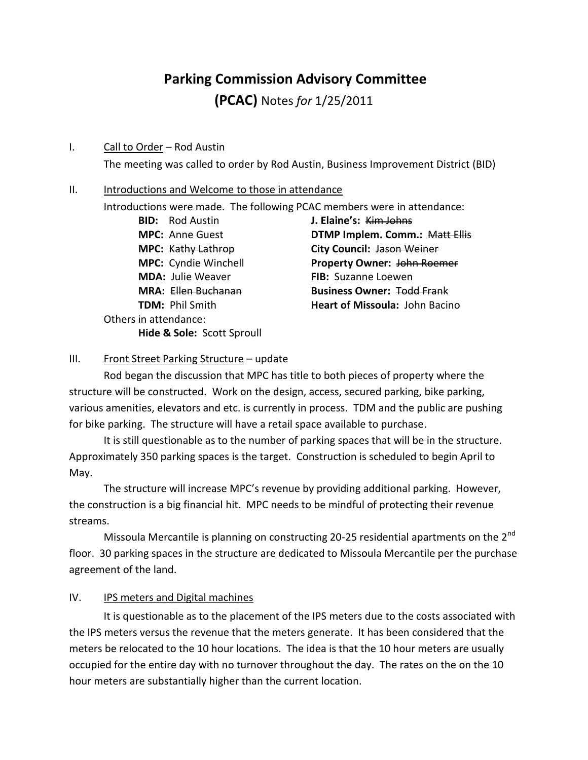# **Parking Commission Advisory Committee**

**(PCAC)** Notes *for* 1/25/2011

#### I. Call to Order – Rod Austin

The meeting was called to order by Rod Austin, Business Improvement District (BID)

#### II. Introductions and Welcome to those in attendance

Introductions were made. The following PCAC members were in attendance:

**BID:** Rod Austin **J. Elaine's:** Kim Johns **MDA:** Julie Weaver **FIB:** Suzanne Loewen Others in attendance: **Hide & Sole:** Scott Sproull

**MPC:** Anne Guest **DTMP Implem. Comm.:** Matt Ellis **MPC:** Kathy Lathrop **City Council:** Jason Weiner **MPC:** Cyndie Winchell **Property Owner:** John Roemer **MRA:** Ellen Buchanan **Business Owner:** Todd Frank **TDM:** Phil Smith **Heart of Missoula:** John Bacino

# III. Front Street Parking Structure - update

Rod began the discussion that MPC has title to both pieces of property where the structure will be constructed. Work on the design, access, secured parking, bike parking, various amenities, elevators and etc. is currently in process. TDM and the public are pushing for bike parking. The structure will have a retail space available to purchase.

It is still questionable as to the number of parking spaces that will be in the structure. Approximately 350 parking spaces is the target. Construction is scheduled to begin April to May.

The structure will increase MPC's revenue by providing additional parking. However, the construction is a big financial hit. MPC needs to be mindful of protecting their revenue streams.

Missoula Mercantile is planning on constructing 20-25 residential apartments on the  $2^{nd}$ floor. 30 parking spaces in the structure are dedicated to Missoula Mercantile per the purchase agreement of the land.

### IV. IPS meters and Digital machines

It is questionable as to the placement of the IPS meters due to the costs associated with the IPS meters versus the revenue that the meters generate. It has been considered that the meters be relocated to the 10 hour locations. The idea is that the 10 hour meters are usually occupied for the entire day with no turnover throughout the day. The rates on the on the 10 hour meters are substantially higher than the current location.